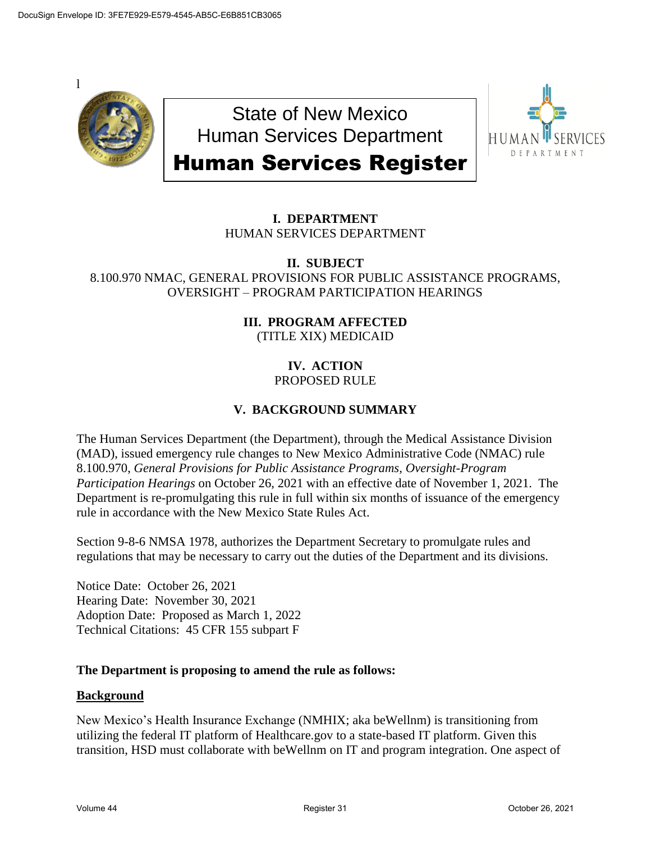

State of New Mexico Human Services Department Human Services Register



# **I. DEPARTMENT** HUMAN SERVICES DEPARTMENT

## **II. SUBJECT** 8.100.970 NMAC, GENERAL PROVISIONS FOR PUBLIC ASSISTANCE PROGRAMS, OVERSIGHT – PROGRAM PARTICIPATION HEARINGS

# **III. PROGRAM AFFECTED** (TITLE XIX) MEDICAID

## **IV. ACTION** PROPOSED RULE

# **V. BACKGROUND SUMMARY**

The Human Services Department (the Department), through the Medical Assistance Division (MAD), issued emergency rule changes to New Mexico Administrative Code (NMAC) rule 8.100.970, *General Provisions for Public Assistance Programs, Oversight-Program Participation Hearings* on October 26, 2021 with an effective date of November 1, 2021. The Department is re-promulgating this rule in full within six months of issuance of the emergency rule in accordance with the New Mexico State Rules Act.

Section 9-8-6 NMSA 1978, authorizes the Department Secretary to promulgate rules and regulations that may be necessary to carry out the duties of the Department and its divisions.

Notice Date: October 26, 2021 Hearing Date: November 30, 2021 Adoption Date: Proposed as March 1, 2022 Technical Citations: 45 CFR 155 subpart F

### **The Department is proposing to amend the rule as follows:**

### **Background**

New Mexico's Health Insurance Exchange (NMHIX; aka beWellnm) is transitioning from utilizing the federal IT platform of Healthcare.gov to a state-based IT platform. Given this transition, HSD must collaborate with beWellnm on IT and program integration. One aspect of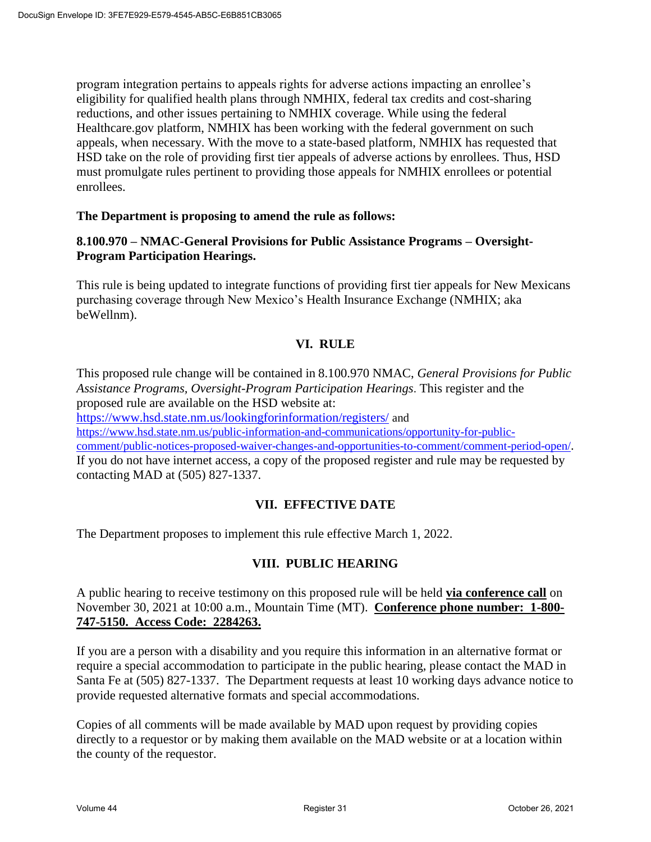program integration pertains to appeals rights for adverse actions impacting an enrollee's eligibility for qualified health plans through NMHIX, federal tax credits and cost-sharing reductions, and other issues pertaining to NMHIX coverage. While using the federal Healthcare.gov platform, NMHIX has been working with the federal government on such appeals, when necessary. With the move to a state-based platform, NMHIX has requested that HSD take on the role of providing first tier appeals of adverse actions by enrollees. Thus, HSD must promulgate rules pertinent to providing those appeals for NMHIX enrollees or potential enrollees.

## **The Department is proposing to amend the rule as follows:**

# **8.100.970 – NMAC-General Provisions for Public Assistance Programs – Oversight-Program Participation Hearings.**

This rule is being updated to integrate functions of providing first tier appeals for New Mexicans purchasing coverage through New Mexico's Health Insurance Exchange (NMHIX; aka beWellnm).

# **VI. RULE**

This proposed rule change will be contained in 8.100.970 NMAC, *General Provisions for Public Assistance Programs, Oversight-Program Participation Hearings*. This register and the proposed rule are available on the HSD website at:

https://www.hsd.state.nm.us/lookingforinformation/registers/ and

https://www.hsd.state.nm.us/public-information-and-communications/opportunity-for-public-

comment/public-notices-proposed-waiver-changes-and-opportunities-to-comment/comment-period-open/. If you do not have internet access, a copy of the proposed register and rule may be requested by contacting MAD at (505) 827-1337.

### **VII. EFFECTIVE DATE**

The Department proposes to implement this rule effective March 1, 2022.

# **VIII. PUBLIC HEARING**

A public hearing to receive testimony on this proposed rule will be held **via conference call** on November 30, 2021 at 10:00 a.m., Mountain Time (MT). **Conference phone number: 1-800- 747-5150. Access Code: 2284263.**

If you are a person with a disability and you require this information in an alternative format or require a special accommodation to participate in the public hearing, please contact the MAD in Santa Fe at (505) 827-1337. The Department requests at least 10 working days advance notice to provide requested alternative formats and special accommodations.

Copies of all comments will be made available by MAD upon request by providing copies directly to a requestor or by making them available on the MAD website or at a location within the county of the requestor.